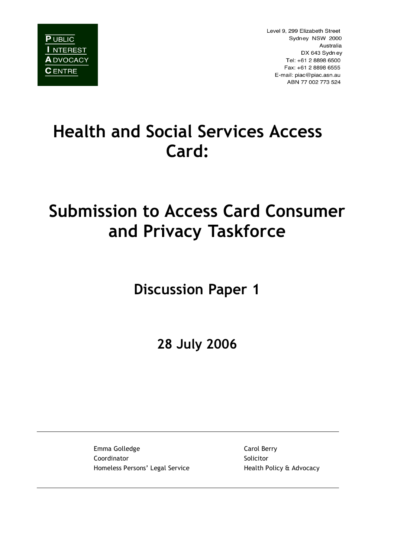

Level 9, 299 Elizabeth Street Sydney NSW 2000 Australia DX 643 Sydney Tel: +61 2 8898 6500 Fax: +61 2 8898 6555 E-mail: piac@piac.asn.au ABN 77 002 773 524

# **Health and Social Services Access Card:**

# **Submission to Access Card Consumer and Privacy Taskforce**

**Discussion Paper 1**

**28 July 2006**

Emma Golledge Carol Berry Coordinator **Solicitor** Solicitor Homeless Persons' Legal Service Health Policy & Advocacy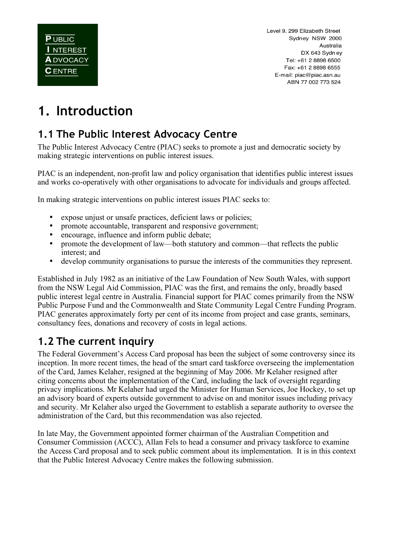Level 9, 299 Elizabeth Street Sydney NSW 2000 Australia DX 643 Sydney Tel: +61 2 8898 6500 Fax: +61 2 8898 6555 E-mail: piac@piac.asn.au ABN 77 002 773 524

# **1. Introduction**

#### **1.1 The Public Interest Advocacy Centre**

The Public Interest Advocacy Centre (PIAC) seeks to promote a just and democratic society by making strategic interventions on public interest issues.

PIAC is an independent, non-profit law and policy organisation that identifies public interest issues and works co-operatively with other organisations to advocate for individuals and groups affected.

In making strategic interventions on public interest issues PIAC seeks to:

- expose unjust or unsafe practices, deficient laws or policies;<br>• promote accountable, transparent and responsive government
- promote accountable, transparent and responsive government;
- encourage, influence and inform public debate;<br>• nromote the development of law—both statutor
- promote the development of law—both statutory and common—that reflects the public interest; and
- develop community organisations to pursue the interests of the communities they represent.

Established in July 1982 as an initiative of the Law Foundation of New South Wales, with support from the NSW Legal Aid Commission, PIAC was the first, and remains the only, broadly based public interest legal centre in Australia. Financial support for PIAC comes primarily from the NSW Public Purpose Fund and the Commonwealth and State Community Legal Centre Funding Program. PIAC generates approximately forty per cent of its income from project and case grants, seminars, consultancy fees, donations and recovery of costs in legal actions.

#### **1.2 The current inquiry**

The Federal Government's Access Card proposal has been the subject of some controversy since its inception. In more recent times, the head of the smart card taskforce overseeing the implementation of the Card, James Kelaher, resigned at the beginning of May 2006. Mr Kelaher resigned after citing concerns about the implementation of the Card, including the lack of oversight regarding privacy implications. Mr Kelaher had urged the Minister for Human Services, Joe Hockey, to set up an advisory board of experts outside government to advise on and monitor issues including privacy and security. Mr Kelaher also urged the Government to establish a separate authority to oversee the administration of the Card, but this recommendation was also rejected.

In late May, the Government appointed former chairman of the Australian Competition and Consumer Commission (ACCC), Allan Fels to head a consumer and privacy taskforce to examine the Access Card proposal and to seek public comment about its implementation. It is in this context that the Public Interest Advocacy Centre makes the following submission.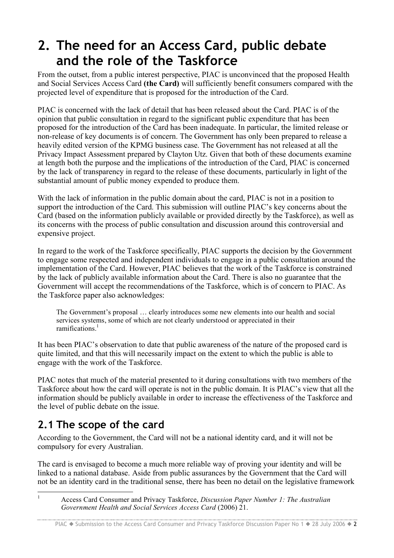## **2. The need for an Access Card, public debate and the role of the Taskforce**

From the outset, from a public interest perspective, PIAC is unconvinced that the proposed Health and Social Services Access Card **(the Card)** will sufficiently benefit consumers compared with the projected level of expenditure that is proposed for the introduction of the Card.

PIAC is concerned with the lack of detail that has been released about the Card. PIAC is of the opinion that public consultation in regard to the significant public expenditure that has been proposed for the introduction of the Card has been inadequate. In particular, the limited release or non-release of key documents is of concern. The Government has only been prepared to release a heavily edited version of the KPMG business case. The Government has not released at all the Privacy Impact Assessment prepared by Clayton Utz. Given that both of these documents examine at length both the purpose and the implications of the introduction of the Card, PIAC is concerned by the lack of transparency in regard to the release of these documents, particularly in light of the substantial amount of public money expended to produce them.

With the lack of information in the public domain about the card, PIAC is not in a position to support the introduction of the Card. This submission will outline PIAC's key concerns about the Card (based on the information publicly available or provided directly by the Taskforce), as well as its concerns with the process of public consultation and discussion around this controversial and expensive project.

In regard to the work of the Taskforce specifically, PIAC supports the decision by the Government to engage some respected and independent individuals to engage in a public consultation around the implementation of the Card. However, PIAC believes that the work of the Taskforce is constrained by the lack of publicly available information about the Card. There is also no guarantee that the Government will accept the recommendations of the Taskforce, which is of concern to PIAC. As the Taskforce paper also acknowledges:

The Government's proposal … clearly introduces some new elements into our health and social services systems, some of which are not clearly understood or appreciated in their ramifications. 1

It has been PIAC's observation to date that public awareness of the nature of the proposed card is quite limited, and that this will necessarily impact on the extent to which the public is able to engage with the work of the Taskforce.

PIAC notes that much of the material presented to it during consultations with two members of the Taskforce about how the card will operate is not in the public domain. It is PIAC's view that all the information should be publicly available in order to increase the effectiveness of the Taskforce and the level of public debate on the issue.

### **2.1 The scope of the card**

According to the Government, the Card will not be a national identity card, and it will not be compulsory for every Australian.

The card is envisaged to become a much more reliable way of proving your identity and will be linked to a national database. Aside from public assurances by the Government that the Card will not be an identity card in the traditional sense, there has been no detail on the legislative framework

 <sup>1</sup> Access Card Consumer and Privacy Taskforce, *Discussion Paper Number 1: The Australian Government Health and Social Services Access Card* (2006) 21.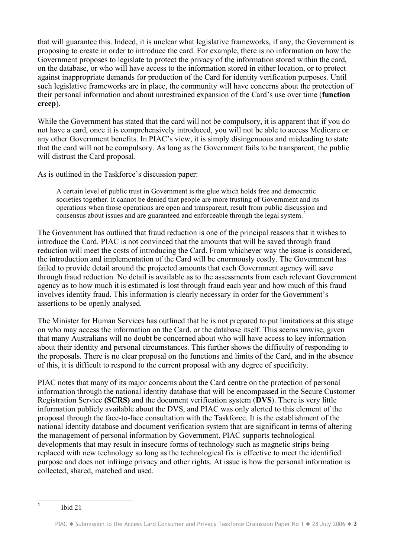that will guarantee this. Indeed, it is unclear what legislative frameworks, if any, the Government is proposing to create in order to introduce the card. For example, there is no information on how the Government proposes to legislate to protect the privacy of the information stored within the card, on the database, or who will have access to the information stored in either location, or to protect against inappropriate demands for production of the Card for identity verification purposes. Until such legislative frameworks are in place, the community will have concerns about the protection of their personal information and about unrestrained expansion of the Card's use over time (**function creep**).

While the Government has stated that the card will not be compulsory, it is apparent that if you do not have a card, once it is comprehensively introduced, you will not be able to access Medicare or any other Government benefits. In PIAC's view, it is simply disingenuous and misleading to state that the card will not be compulsory. As long as the Government fails to be transparent, the public will distrust the Card proposal.

As is outlined in the Taskforce's discussion paper:

A certain level of public trust in Government is the glue which holds free and democratic societies together. It cannot be denied that people are more trusting of Government and its operations when those operations are open and transparent, result from public discussion and consensus about issues and are guaranteed and enforceable through the legal system. *2*

The Government has outlined that fraud reduction is one of the principal reasons that it wishes to introduce the Card. PIAC is not convinced that the amounts that will be saved through fraud reduction will meet the costs of introducing the Card. From whichever way the issue is considered, the introduction and implementation of the Card will be enormously costly. The Government has failed to provide detail around the projected amounts that each Government agency will save through fraud reduction. No detail is available as to the assessments from each relevant Government agency as to how much it is estimated is lost through fraud each year and how much of this fraud involves identity fraud. This information is clearly necessary in order for the Government's assertions to be openly analysed.

The Minister for Human Services has outlined that he is not prepared to put limitations at this stage on who may access the information on the Card, or the database itself. This seems unwise, given that many Australians will no doubt be concerned about who will have access to key information about their identity and personal circumstances. This further shows the difficulty of responding to the proposals. There is no clear proposal on the functions and limits of the Card, and in the absence of this, it is difficult to respond to the current proposal with any degree of specificity.

PIAC notes that many of its major concerns about the Card centre on the protection of personal information through the national identity database that will be encompassed in the Secure Customer Registration Service **(SCRS)** and the document verification system (**DVS**). There is very little information publicly available about the DVS, and PIAC was only alerted to this element of the proposal through the face-to-face consultation with the Taskforce. It is the establishment of the national identity database and document verification system that are significant in terms of altering the management of personal information by Government. PIAC supports technological developments that may result in insecure forms of technology such as magnetic strips being replaced with new technology so long as the technological fix is effective to meet the identified purpose and does not infringe privacy and other rights. At issue is how the personal information is collected, shared, matched and used.

<sup>&</sup>lt;sup>2</sup> Ibid 21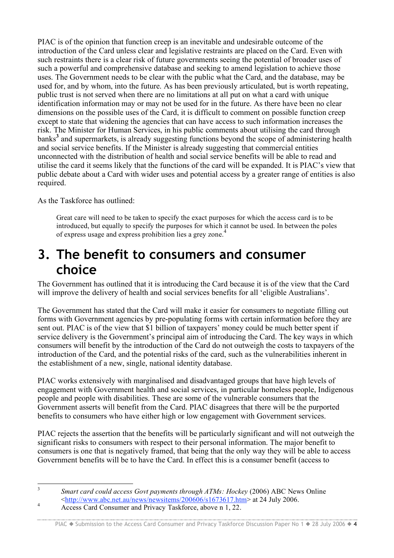PIAC is of the opinion that function creep is an inevitable and undesirable outcome of the introduction of the Card unless clear and legislative restraints are placed on the Card. Even with such restraints there is a clear risk of future governments seeing the potential of broader uses of such a powerful and comprehensive database and seeking to amend legislation to achieve those uses. The Government needs to be clear with the public what the Card, and the database, may be used for, and by whom, into the future. As has been previously articulated, but is worth repeating, public trust is not served when there are no limitations at all put on what a card with unique identification information may or may not be used for in the future. As there have been no clear dimensions on the possible uses of the Card, it is difficult to comment on possible function creep except to state that widening the agencies that can have access to such information increases the risk. The Minister for Human Services, in his public comments about utilising the card through banks**<sup>3</sup>** and supermarkets, is already suggesting functions beyond the scope of administering health and social service benefits. If the Minister is already suggesting that commercial entities unconnected with the distribution of health and social service benefits will be able to read and utilise the card it seems likely that the functions of the card will be expanded. It is PIAC's view that public debate about a Card with wider uses and potential access by a greater range of entities is also required.

As the Taskforce has outlined:

Great care will need to be taken to specify the exact purposes for which the access card is to be introduced, but equally to specify the purposes for which it cannot be used. In between the poles of express usage and express prohibition lies a grey zone. 4

## **3. The benefit to consumers and consumer choice**

The Government has outlined that it is introducing the Card because it is of the view that the Card will improve the delivery of health and social services benefits for all 'eligible Australians'.

The Government has stated that the Card will make it easier for consumers to negotiate filling out forms with Government agencies by pre-populating forms with certain information before they are sent out. PIAC is of the view that \$1 billion of taxpayers' money could be much better spent if service delivery is the Government's principal aim of introducing the Card. The key ways in which consumers will benefit by the introduction of the Card do not outweigh the costs to taxpayers of the introduction of the Card, and the potential risks of the card, such as the vulnerabilities inherent in the establishment of a new, single, national identity database.

PIAC works extensively with marginalised and disadvantaged groups that have high levels of engagement with Government health and social services, in particular homeless people, Indigenous people and people with disabilities. These are some of the vulnerable consumers that the Government asserts will benefit from the Card. PIAC disagrees that there will be the purported benefits to consumers who have either high or low engagement with Government services.

PIAC rejects the assertion that the benefits will be particularly significant and will not outweigh the significant risks to consumers with respect to their personal information. The major benefit to consumers is one that is negatively framed, that being that the only way they will be able to access Government benefits will be to have the Card. In effect this is a consumer benefit (access to

 <sup>3</sup> *Smart card could access Govt payments through ATMs: Hockey* (2006) ABC News Online <sup>4</sup>  $\frac{\text{http://www.abc.net.au/news/news/news/200606/s1673617.htm}}{\text{Access Card Consumer and Privacy Taskforce, above n 1, 22.}}$ 

PIAC ♦ Submission to the Access Card Consumer and Privacy Taskforce Discussion Paper No 1 ♦ 28 July 2006 ♦ 4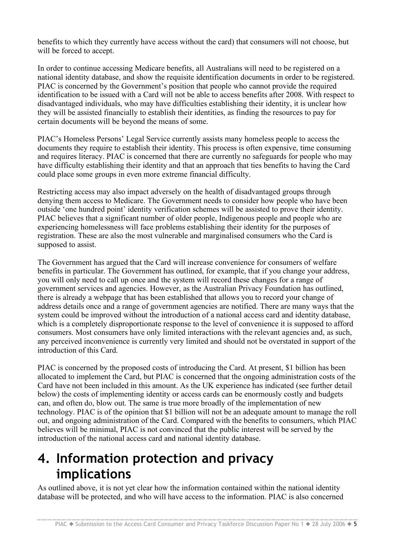benefits to which they currently have access without the card) that consumers will not choose, but will be forced to accept.

In order to continue accessing Medicare benefits, all Australians will need to be registered on a national identity database, and show the requisite identification documents in order to be registered. PIAC is concerned by the Government's position that people who cannot provide the required identification to be issued with a Card will not be able to access benefits after 2008. With respect to disadvantaged individuals, who may have difficulties establishing their identity, it is unclear how they will be assisted financially to establish their identities, as finding the resources to pay for certain documents will be beyond the means of some.

PIAC's Homeless Persons' Legal Service currently assists many homeless people to access the documents they require to establish their identity. This process is often expensive, time consuming and requires literacy. PIAC is concerned that there are currently no safeguards for people who may have difficulty establishing their identity and that an approach that ties benefits to having the Card could place some groups in even more extreme financial difficulty.

Restricting access may also impact adversely on the health of disadvantaged groups through denying them access to Medicare. The Government needs to consider how people who have been outside 'one hundred point' identity verification schemes will be assisted to prove their identity. PIAC believes that a significant number of older people, Indigenous people and people who are experiencing homelessness will face problems establishing their identity for the purposes of registration. These are also the most vulnerable and marginalised consumers who the Card is supposed to assist.

The Government has argued that the Card will increase convenience for consumers of welfare benefits in particular. The Government has outlined, for example, that if you change your address, you will only need to call up once and the system will record these changes for a range of government services and agencies. However, as the Australian Privacy Foundation has outlined, there is already a webpage that has been established that allows you to record your change of address details once and a range of government agencies are notified. There are many ways that the system could be improved without the introduction of a national access card and identity database, which is a completely disproportionate response to the level of convenience it is supposed to afford consumers. Most consumers have only limited interactions with the relevant agencies and, as such, any perceived inconvenience is currently very limited and should not be overstated in support of the introduction of this Card.

PIAC is concerned by the proposed costs of introducing the Card. At present, \$1 billion has been allocated to implement the Card, but PIAC is concerned that the ongoing administration costs of the Card have not been included in this amount. As the UK experience has indicated (see further detail below) the costs of implementing identity or access cards can be enormously costly and budgets can, and often do, blow out. The same is true more broadly of the implementation of new technology. PIAC is of the opinion that \$1 billion will not be an adequate amount to manage the roll out, and ongoing administration of the Card. Compared with the benefits to consumers, which PIAC believes will be minimal, PIAC is not convinced that the public interest will be served by the introduction of the national access card and national identity database.

## **4. Information protection and privacy implications**

As outlined above, it is not yet clear how the information contained within the national identity database will be protected, and who will have access to the information. PIAC is also concerned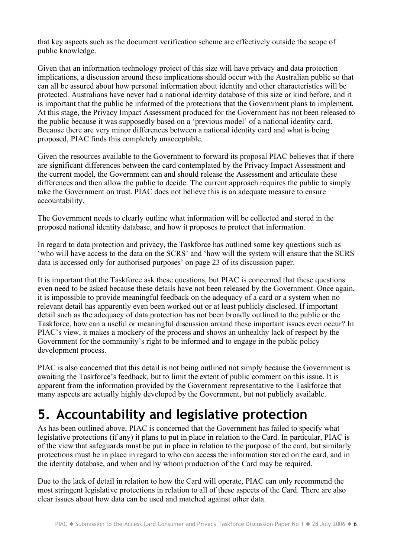that key aspects such as the document verification scheme are effectively outside the scope of public knowledge.

Given that an information technology project of this size will have privacy and data protection implications, a discussion around these implications should occur with the Australian public so that can all be assured about how personal information about identity and other characteristics will be protected. Australians have never had a national identity database of this size or kind before, and it is important that the public be informed of the protections that the Government plans to implement. At this stage, the Privacy Impact Assessment produced for the Government has not been released to the public because it was supposedly based on a 'previous model' of a national identity card. Because there are very minor differences between a national identity card and what is being proposed, PIAC finds this completely unacceptable.

Given the resources available to the Government to forward its proposal PIAC believes that if there are significant differences between the card contemplated by the Privacy Impact Assessment and the current model, the Government can and should release the Assessment and articulate these differences and then allow the public to decide. The current approach requires the public to simply take the Government on trust. PIAC does not believe this is an adequate measure to ensure accountability.

The Government needs to clearly outline what information will be collected and stored in the proposed national identity database, and how it proposes to protect that information.

In regard to data protection and privacy, the Taskforce has outlined some key questions such as 'who will have access to the data on the SCRS' and 'how will the system will ensure that the SCRS data is accessed only for authorised purposes' on page 23 of its discussion paper.

It is important that the Taskforce ask these questions, but PIAC is concerned that these questions even need to be asked because these details have not been released by the Government. Once again, it is impossible to provide meaningful feedback on the adequacy of a card or a system when no relevant detail has apparently even been worked out or at least publicly disclosed. If important detail such as the adequacy of data protection has not been broadly outlined to the public or the Taskforce, how can a useful or meaningful discussion around these important issues even occur? In PIAC's view, it makes a mockery of the process and shows an unhealthy lack of respect by the Government for the community's right to be informed and to engage in the public policy development process.

PIAC is also concerned that this detail is not being outlined not simply because the Government is awaiting the Taskforce's feedback, but to limit the extent of public comment on this issue. It is apparent from the information provided by the Government representative to the Taskforce that many aspects are actually highly developed by the Government, but not publicly available.

# **5. Accountability and legislative protection**

As has been outlined above, PIAC is concerned that the Government has failed to specify what legislative protections (if any) it plans to put in place in relation to the Card. In particular, PIAC is of the view that safeguards must be put in place in relation to the purpose of the card, but similarly protections must be in place in regard to who can access the information stored on the card, and in the identity database, and when and by whom production of the Card may be required.

Due to the lack of detail in relation to how the Card will operate, PIAC can only recommend the most stringent legislative protections in relation to all of these aspects of the Card. There are also clear issues about how data can be used and matched against other data.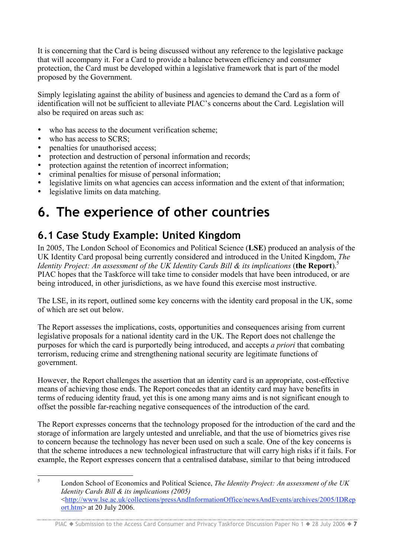It is concerning that the Card is being discussed without any reference to the legislative package that will accompany it. For a Card to provide a balance between efficiency and consumer protection, the Card must be developed within a legislative framework that is part of the model proposed by the Government.

Simply legislating against the ability of business and agencies to demand the Card as a form of identification will not be sufficient to alleviate PIAC's concerns about the Card. Legislation will also be required on areas such as:

- who has access to the document verification scheme;
- who has access to SCRS;
- penalties for unauthorised access;
- protection and destruction of personal information and records;<br>• protection against the retention of incorrect information:
- protection against the retention of incorrect information;
- criminal penalties for misuse of personal information;
- legislative limits on what agencies can access information and the extent of that information;<br>• legislative limits on data matching
- legislative limits on data matching.

## **6. The experience of other countries**

### **6.1 Case Study Example: United Kingdom**

In 2005, The London School of Economics and Political Science (**LSE**) produced an analysis of the UK Identity Card proposal being currently considered and introduced in the United Kingdom, *The Identity Project: An assessment of the UK Identity Cards Bill & its implications* (**the Report**). 5 PIAC hopes that the Taskforce will take time to consider models that have been introduced, or are being introduced, in other jurisdictions, as we have found this exercise most instructive.

The LSE, in its report, outlined some key concerns with the identity card proposal in the UK, some of which are set out below.

The Report assesses the implications, costs, opportunities and consequences arising from current legislative proposals for a national identity card in the UK. The Report does not challenge the purposes for which the card is purportedly being introduced, and accepts *a priori* that combating terrorism, reducing crime and strengthening national security are legitimate functions of government.

However, the Report challenges the assertion that an identity card is an appropriate, cost-effective means of achieving those ends. The Report concedes that an identity card may have benefits in terms of reducing identity fraud, yet this is one among many aims and is not significant enough to offset the possible far-reaching negative consequences of the introduction of the card.

The Report expresses concerns that the technology proposed for the introduction of the card and the storage of information are largely untested and unreliable, and that the use of biometrics gives rise to concern because the technology has never been used on such a scale. One of the key concerns is that the scheme introduces a new technological infrastructure that will carry high risks if it fails. For example, the Report expresses concern that a centralised database, similar to that being introduced

 <sup>5</sup> London School of Economics and Political Science, *The Identity Project: An assessment of the UK Identity Cards Bill & its implications (2005)*  <http://www.lse.ac.uk/collections/pressAndInformationOffice/newsAndEvents/archives/2005/IDRep ort.htm> at 20 July 2006.

PIAC ♦ Submission to the Access Card Consumer and Privacy Taskforce Discussion Paper No 1 ♦ 28 July 2006 ♦ 7